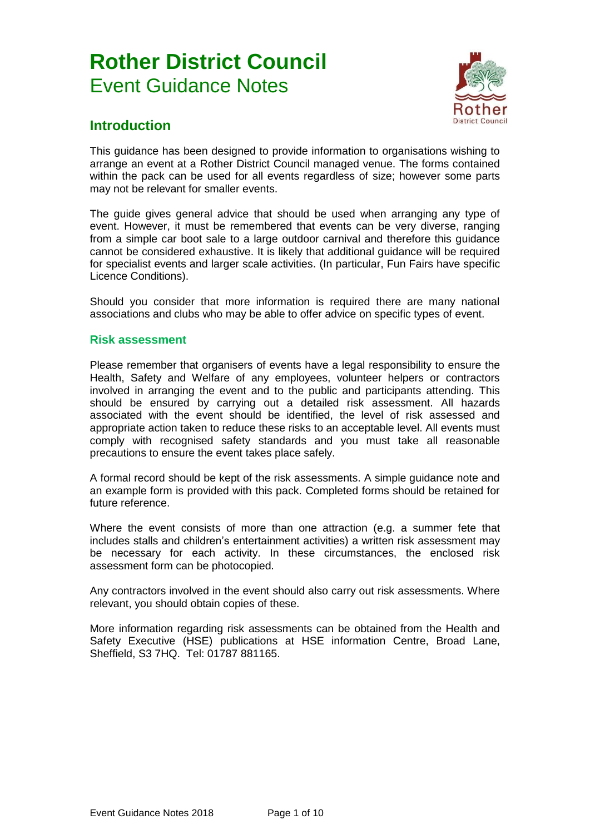# **Rother District Council** Event Guidance Notes



## **Introduction**

This guidance has been designed to provide information to organisations wishing to arrange an event at a Rother District Council managed venue. The forms contained within the pack can be used for all events regardless of size; however some parts may not be relevant for smaller events.

The guide gives general advice that should be used when arranging any type of event. However, it must be remembered that events can be very diverse, ranging from a simple car boot sale to a large outdoor carnival and therefore this guidance cannot be considered exhaustive. It is likely that additional guidance will be required for specialist events and larger scale activities. (In particular, Fun Fairs have specific Licence Conditions).

Should you consider that more information is required there are many national associations and clubs who may be able to offer advice on specific types of event.

#### **Risk assessment**

Please remember that organisers of events have a legal responsibility to ensure the Health, Safety and Welfare of any employees, volunteer helpers or contractors involved in arranging the event and to the public and participants attending. This should be ensured by carrying out a detailed risk assessment. All hazards associated with the event should be identified, the level of risk assessed and appropriate action taken to reduce these risks to an acceptable level. All events must comply with recognised safety standards and you must take all reasonable precautions to ensure the event takes place safely.

A formal record should be kept of the risk assessments. A simple guidance note and an example form is provided with this pack. Completed forms should be retained for future reference.

Where the event consists of more than one attraction (e.g. a summer fete that includes stalls and children's entertainment activities) a written risk assessment may be necessary for each activity. In these circumstances, the enclosed risk assessment form can be photocopied.

Any contractors involved in the event should also carry out risk assessments. Where relevant, you should obtain copies of these.

More information regarding risk assessments can be obtained from the Health and Safety Executive (HSE) publications at HSE information Centre, Broad Lane, Sheffield, S3 7HQ. Tel: 01787 881165.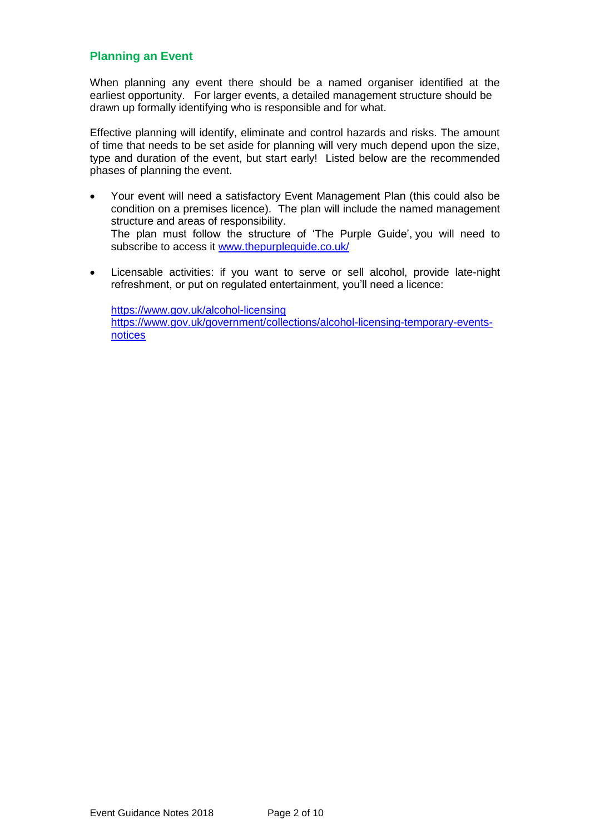### **Planning an Event**

When planning any event there should be a named organiser identified at the earliest opportunity. For larger events, a detailed management structure should be drawn up formally identifying who is responsible and for what.

Effective planning will identify, eliminate and control hazards and risks. The amount of time that needs to be set aside for planning will very much depend upon the size, type and duration of the event, but start early! Listed below are the recommended phases of planning the event.

- Your event will need a satisfactory Event Management Plan (this could also be condition on a premises licence). The plan will include the named management structure and areas of responsibility. The plan must follow the structure of 'The Purple Guide', you will need to subscribe to access it [www.thepurpleguide.co.uk/](http://www.thepurpleguide.co.uk/)
- Licensable activities: if you want to serve or sell alcohol, provide late-night refreshment, or put on regulated entertainment, you'll need a licence:

<https://www.gov.uk/alcohol-licensing> [https://www.gov.uk/government/collections/alcohol-licensing-temporary-events](https://www.gov.uk/government/collections/alcohol-licensing-temporary-events-notices)[notices](https://www.gov.uk/government/collections/alcohol-licensing-temporary-events-notices)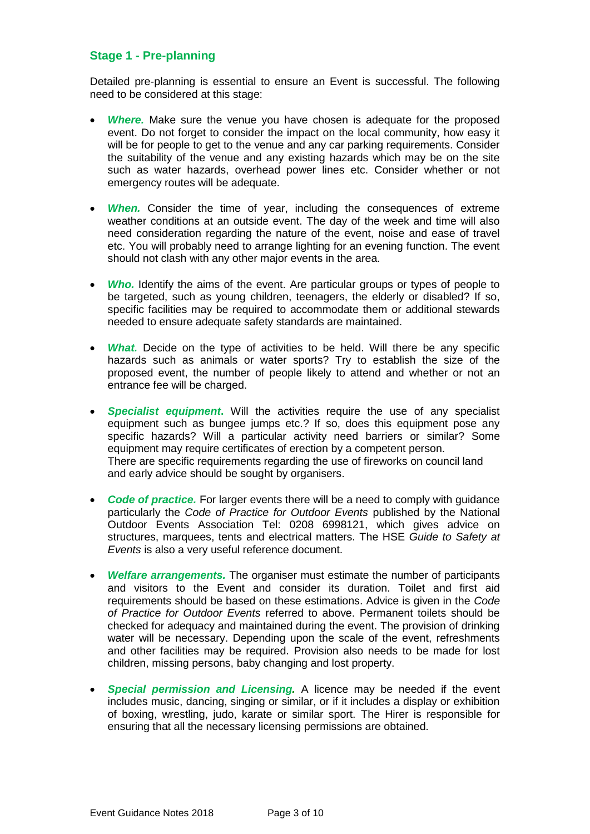### **Stage 1 - Pre-planning**

Detailed pre-planning is essential to ensure an Event is successful. The following need to be considered at this stage:

- Where. Make sure the venue you have chosen is adequate for the proposed event. Do not forget to consider the impact on the local community, how easy it will be for people to get to the venue and any car parking requirements. Consider the suitability of the venue and any existing hazards which may be on the site such as water hazards, overhead power lines etc. Consider whether or not emergency routes will be adequate.
- *When.* Consider the time of year, including the consequences of extreme weather conditions at an outside event. The day of the week and time will also need consideration regarding the nature of the event, noise and ease of travel etc. You will probably need to arrange lighting for an evening function. The event should not clash with any other major events in the area.
- Who. Identify the aims of the event. Are particular groups or types of people to be targeted, such as young children, teenagers, the elderly or disabled? If so, specific facilities may be required to accommodate them or additional stewards needed to ensure adequate safety standards are maintained.
- *What.* Decide on the type of activities to be held. Will there be any specific hazards such as animals or water sports? Try to establish the size of the proposed event, the number of people likely to attend and whether or not an entrance fee will be charged.
- *Specialist equipment***.** Will the activities require the use of any specialist equipment such as bungee jumps etc.? If so, does this equipment pose any specific hazards? Will a particular activity need barriers or similar? Some equipment may require certificates of erection by a competent person. There are specific requirements regarding the use of fireworks on council land and early advice should be sought by organisers.
- *Code of practice.* For larger events there will be a need to comply with guidance particularly the *Code of Practice for Outdoor Events* published by the National Outdoor Events Association Tel: 0208 6998121, which gives advice on structures, marquees, tents and electrical matters. The HSE *Guide to Safety at Events* is also a very useful reference document.
- *Welfare arrangements.* The organiser must estimate the number of participants and visitors to the Event and consider its duration. Toilet and first aid requirements should be based on these estimations. Advice is given in the *Code of Practice for Outdoor Events* referred to above. Permanent toilets should be checked for adequacy and maintained during the event. The provision of drinking water will be necessary. Depending upon the scale of the event, refreshments and other facilities may be required. Provision also needs to be made for lost children, missing persons, baby changing and lost property.
- *Special permission and Licensing.* A licence may be needed if the event includes music, dancing, singing or similar, or if it includes a display or exhibition of boxing, wrestling, judo, karate or similar sport. The Hirer is responsible for ensuring that all the necessary licensing permissions are obtained.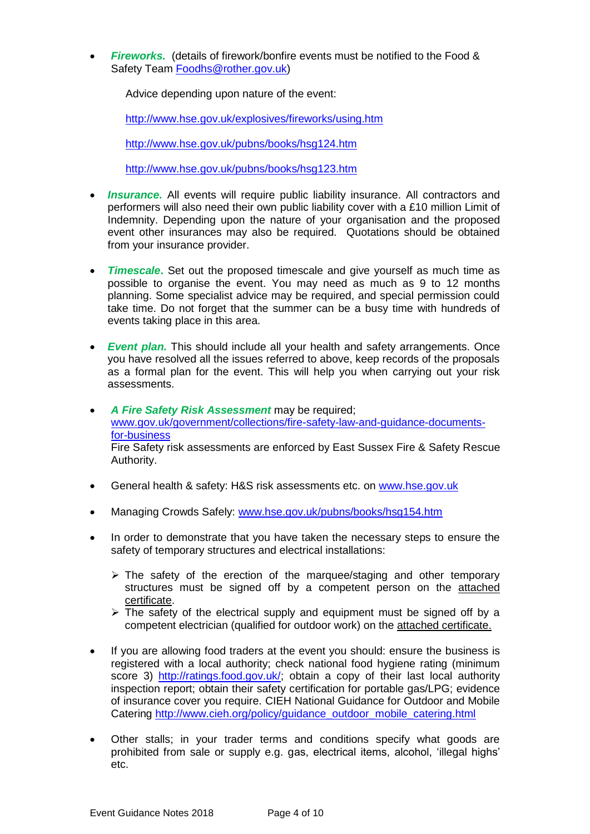**Fireworks.** (details of firework/bonfire events must be notified to the Food & Safety Team [Foodhs@rother.gov.uk\)](mailto:Foodhs@rother.gov.uk)

Advice depending upon nature of the event:

<http://www.hse.gov.uk/explosives/fireworks/using.htm>

<http://www.hse.gov.uk/pubns/books/hsg124.htm>

<http://www.hse.gov.uk/pubns/books/hsg123.htm>

- *Insurance.* All events will require public liability insurance. All contractors and performers will also need their own public liability cover with a £10 million Limit of Indemnity. Depending upon the nature of your organisation and the proposed event other insurances may also be required. Quotations should be obtained from your insurance provider.
- *Timescale***.** Set out the proposed timescale and give yourself as much time as possible to organise the event. You may need as much as 9 to 12 months planning. Some specialist advice may be required, and special permission could take time. Do not forget that the summer can be a busy time with hundreds of events taking place in this area.
- *Event plan.* This should include all your health and safety arrangements. Once you have resolved all the issues referred to above, keep records of the proposals as a formal plan for the event. This will help you when carrying out your risk assessments.
- *A Fire Safety Risk Assessment* may be required; [www.gov.uk/government/collections/fire-safety-law-and-guidance-documents](http://www.gov.uk/government/collections/fire-safety-law-and-guidance-documents-for-business)[for-business](http://www.gov.uk/government/collections/fire-safety-law-and-guidance-documents-for-business) Fire Safety risk assessments are enforced by East Sussex Fire & Safety Rescue Authority.
- General health & safety: H&S risk assessments etc. on [www.hse.gov.uk](http://www.hse.gov.uk/)
- Managing Crowds Safely: [www.hse.gov.uk/pubns/books/hsg154.htm](http://www.hse.gov.uk/pubns/books/hsg154.htm)
- In order to demonstrate that you have taken the necessary steps to ensure the safety of temporary structures and electrical installations:
	- $\triangleright$  The safety of the erection of the marquee/staging and other temporary structures must be signed off by a competent person on the attached certificate.
	- $\triangleright$  The safety of the electrical supply and equipment must be signed off by a competent electrician (qualified for outdoor work) on the attached certificate.
- If you are allowing food traders at the event you should: ensure the business is registered with a local authority; check national food hygiene rating (minimum score 3) [http://ratings.food.gov.uk/;](http://ratings.food.gov.uk/) obtain a copy of their last local authority inspection report; obtain their safety certification for portable gas/LPG; evidence of insurance cover you require. CIEH National Guidance for Outdoor and Mobile Catering [http://www.cieh.org/policy/guidance\\_outdoor\\_mobile\\_catering.html](http://www.cieh.org/policy/guidance_outdoor_mobile_catering.html)
- Other stalls; in your trader terms and conditions specify what goods are prohibited from sale or supply e.g. gas, electrical items, alcohol, 'illegal highs' etc.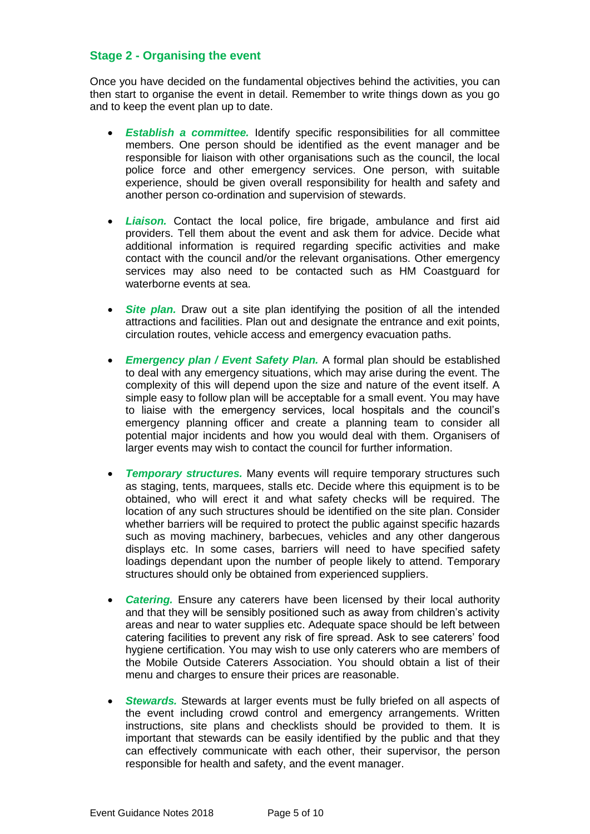#### **Stage 2 - Organising the event**

Once you have decided on the fundamental objectives behind the activities, you can then start to organise the event in detail. Remember to write things down as you go and to keep the event plan up to date.

- *Establish a committee.* Identify specific responsibilities for all committee members. One person should be identified as the event manager and be responsible for liaison with other organisations such as the council, the local police force and other emergency services. One person, with suitable experience, should be given overall responsibility for health and safety and another person co-ordination and supervision of stewards.
- *Liaison.* Contact the local police, fire brigade, ambulance and first aid providers. Tell them about the event and ask them for advice. Decide what additional information is required regarding specific activities and make contact with the council and/or the relevant organisations. Other emergency services may also need to be contacted such as HM Coastguard for waterborne events at sea.
- **Site plan.** Draw out a site plan identifying the position of all the intended attractions and facilities. Plan out and designate the entrance and exit points, circulation routes, vehicle access and emergency evacuation paths.
- *Emergency plan / Event Safety Plan.* A formal plan should be established to deal with any emergency situations, which may arise during the event. The complexity of this will depend upon the size and nature of the event itself. A simple easy to follow plan will be acceptable for a small event. You may have to liaise with the emergency services, local hospitals and the council's emergency planning officer and create a planning team to consider all potential major incidents and how you would deal with them. Organisers of larger events may wish to contact the council for further information.
- *Temporary structures.* Many events will require temporary structures such as staging, tents, marquees, stalls etc. Decide where this equipment is to be obtained, who will erect it and what safety checks will be required. The location of any such structures should be identified on the site plan. Consider whether barriers will be required to protect the public against specific hazards such as moving machinery, barbecues, vehicles and any other dangerous displays etc. In some cases, barriers will need to have specified safety loadings dependant upon the number of people likely to attend. Temporary structures should only be obtained from experienced suppliers.
- *Catering.* Ensure any caterers have been licensed by their local authority and that they will be sensibly positioned such as away from children's activity areas and near to water supplies etc. Adequate space should be left between catering facilities to prevent any risk of fire spread. Ask to see caterers' food hygiene certification. You may wish to use only caterers who are members of the Mobile Outside Caterers Association. You should obtain a list of their menu and charges to ensure their prices are reasonable.
- *Stewards.* Stewards at larger events must be fully briefed on all aspects of the event including crowd control and emergency arrangements. Written instructions, site plans and checklists should be provided to them. It is important that stewards can be easily identified by the public and that they can effectively communicate with each other, their supervisor, the person responsible for health and safety, and the event manager.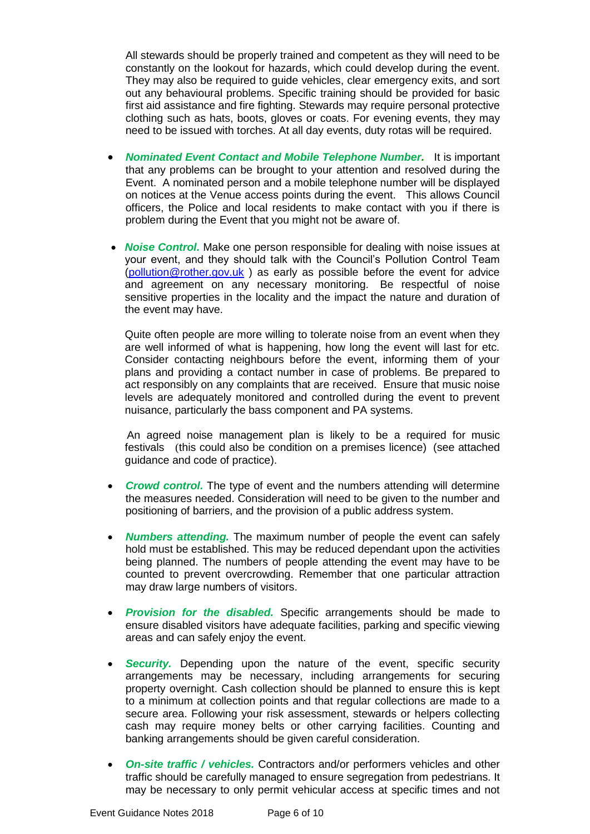All stewards should be properly trained and competent as they will need to be constantly on the lookout for hazards, which could develop during the event. They may also be required to guide vehicles, clear emergency exits, and sort out any behavioural problems. Specific training should be provided for basic first aid assistance and fire fighting. Stewards may require personal protective clothing such as hats, boots, gloves or coats. For evening events, they may need to be issued with torches. At all day events, duty rotas will be required.

- *Nominated Event Contact and Mobile Telephone Number.* It is important that any problems can be brought to your attention and resolved during the Event. A nominated person and a mobile telephone number will be displayed on notices at the Venue access points during the event. This allows Council officers, the Police and local residents to make contact with you if there is problem during the Event that you might not be aware of.
- *Noise Control.* Make one person responsible for dealing with noise issues at your event, and they should talk with the Council's Pollution Control Team [\(pollution@rother.gov.uk](mailto:pollution@rother.gov.uk)) as early as possible before the event for advice and agreement on any necessary monitoring. Be respectful of noise sensitive properties in the locality and the impact the nature and duration of the event may have.

 Quite often people are more willing to tolerate noise from an event when they are well informed of what is happening, how long the event will last for etc. Consider contacting neighbours before the event, informing them of your plans and providing a contact number in case of problems. Be prepared to act responsibly on any complaints that are received. Ensure that music noise levels are adequately monitored and controlled during the event to prevent nuisance, particularly the bass component and PA systems.

 An agreed noise management plan is likely to be a required for music festivals (this could also be condition on a premises licence) (see attached guidance and code of practice).

- *Crowd control.* The type of event and the numbers attending will determine the measures needed. Consideration will need to be given to the number and positioning of barriers, and the provision of a public address system.
- *Numbers attending.* The maximum number of people the event can safely hold must be established. This may be reduced dependant upon the activities being planned. The numbers of people attending the event may have to be counted to prevent overcrowding. Remember that one particular attraction may draw large numbers of visitors.
- *Provision for the disabled.* Specific arrangements should be made to ensure disabled visitors have adequate facilities, parking and specific viewing areas and can safely enjoy the event.
- **Security.** Depending upon the nature of the event, specific security arrangements may be necessary, including arrangements for securing property overnight. Cash collection should be planned to ensure this is kept to a minimum at collection points and that regular collections are made to a secure area. Following your risk assessment, stewards or helpers collecting cash may require money belts or other carrying facilities. Counting and banking arrangements should be given careful consideration.
- *On-site traffic / vehicles.* Contractors and/or performers vehicles and other traffic should be carefully managed to ensure segregation from pedestrians. It may be necessary to only permit vehicular access at specific times and not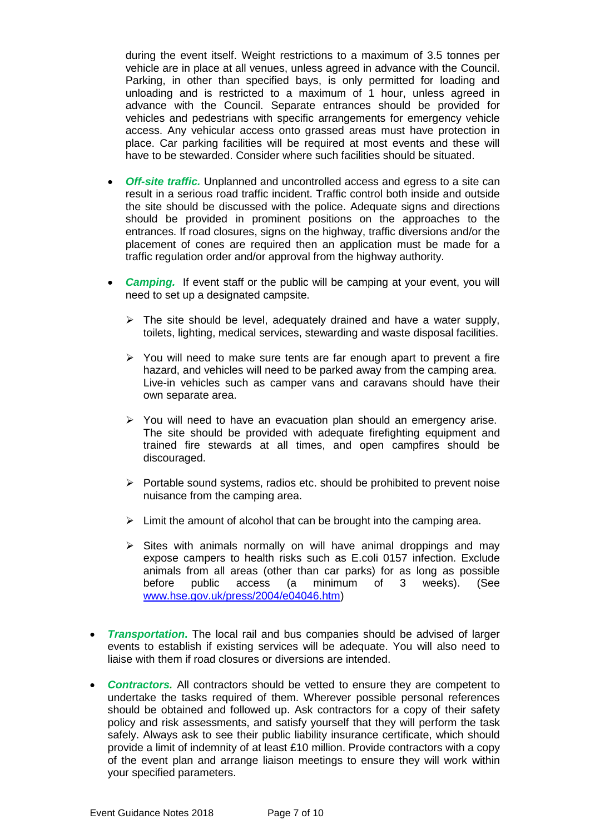during the event itself. Weight restrictions to a maximum of 3.5 tonnes per vehicle are in place at all venues, unless agreed in advance with the Council. Parking, in other than specified bays, is only permitted for loading and unloading and is restricted to a maximum of 1 hour, unless agreed in advance with the Council. Separate entrances should be provided for vehicles and pedestrians with specific arrangements for emergency vehicle access. Any vehicular access onto grassed areas must have protection in place. Car parking facilities will be required at most events and these will have to be stewarded. Consider where such facilities should be situated.

- *Off-site traffic.* Unplanned and uncontrolled access and egress to a site can result in a serious road traffic incident. Traffic control both inside and outside the site should be discussed with the police. Adequate signs and directions should be provided in prominent positions on the approaches to the entrances. If road closures, signs on the highway, traffic diversions and/or the placement of cones are required then an application must be made for a traffic regulation order and/or approval from the highway authority.
- *Camping.* If event staff or the public will be camping at your event, you will need to set up a designated campsite.
	- $\triangleright$  The site should be level, adequately drained and have a water supply, toilets, lighting, medical services, stewarding and waste disposal facilities.
	- $\triangleright$  You will need to make sure tents are far enough apart to prevent a fire hazard, and vehicles will need to be parked away from the camping area. Live-in vehicles such as camper vans and caravans should have their own separate area.
	- $\triangleright$  You will need to have an evacuation plan should an emergency arise. The site should be provided with adequate firefighting equipment and trained fire stewards at all times, and open campfires should be discouraged.
	- $\triangleright$  Portable sound systems, radios etc. should be prohibited to prevent noise nuisance from the camping area.
	- $\triangleright$  Limit the amount of alcohol that can be brought into the camping area.
	- $\triangleright$  Sites with animals normally on will have animal droppings and may expose campers to health risks such as E.coli 0157 infection. Exclude animals from all areas (other than car parks) for as long as possible before public access (a minimum of 3 weeks). (See [www.hse.gov.uk/press/2004/e04046.htm\)](http://www.hse.gov.uk/press/2004/e04046.htm)
- *Transportation***.** The local rail and bus companies should be advised of larger events to establish if existing services will be adequate. You will also need to liaise with them if road closures or diversions are intended.
- *Contractors.* All contractors should be vetted to ensure they are competent to undertake the tasks required of them. Wherever possible personal references should be obtained and followed up. Ask contractors for a copy of their safety policy and risk assessments, and satisfy yourself that they will perform the task safely. Always ask to see their public liability insurance certificate, which should provide a limit of indemnity of at least £10 million. Provide contractors with a copy of the event plan and arrange liaison meetings to ensure they will work within your specified parameters.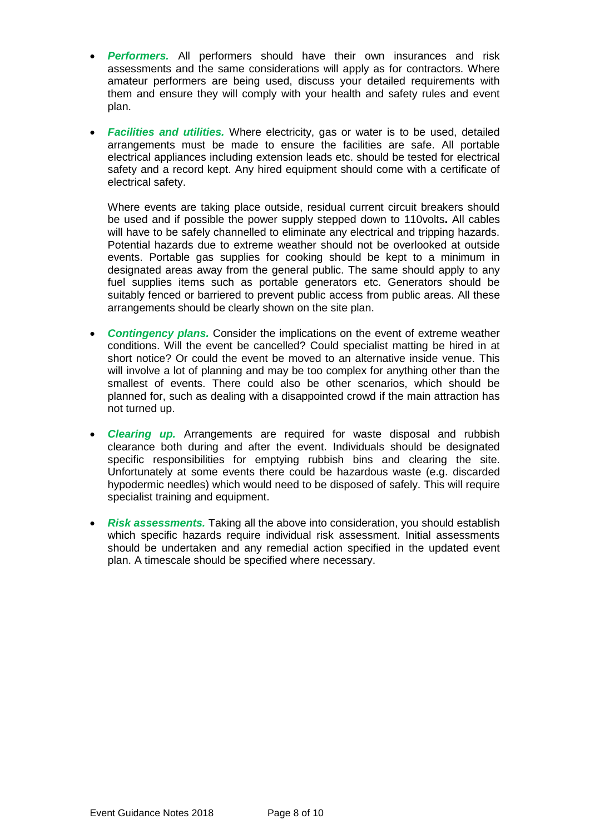- *Performers.* All performers should have their own insurances and risk assessments and the same considerations will apply as for contractors. Where amateur performers are being used, discuss your detailed requirements with them and ensure they will comply with your health and safety rules and event plan.
- *Facilities and utilities.* Where electricity, gas or water is to be used, detailed arrangements must be made to ensure the facilities are safe. All portable electrical appliances including extension leads etc. should be tested for electrical safety and a record kept. Any hired equipment should come with a certificate of electrical safety.

Where events are taking place outside, residual current circuit breakers should be used and if possible the power supply stepped down to 110volts**.** All cables will have to be safely channelled to eliminate any electrical and tripping hazards. Potential hazards due to extreme weather should not be overlooked at outside events. Portable gas supplies for cooking should be kept to a minimum in designated areas away from the general public. The same should apply to any fuel supplies items such as portable generators etc. Generators should be suitably fenced or barriered to prevent public access from public areas. All these arrangements should be clearly shown on the site plan.

- *Contingency plans.* Consider the implications on the event of extreme weather conditions. Will the event be cancelled? Could specialist matting be hired in at short notice? Or could the event be moved to an alternative inside venue. This will involve a lot of planning and may be too complex for anything other than the smallest of events. There could also be other scenarios, which should be planned for, such as dealing with a disappointed crowd if the main attraction has not turned up.
- *Clearing up.* Arrangements are required for waste disposal and rubbish clearance both during and after the event. Individuals should be designated specific responsibilities for emptying rubbish bins and clearing the site. Unfortunately at some events there could be hazardous waste (e.g. discarded hypodermic needles) which would need to be disposed of safely. This will require specialist training and equipment.
- *Risk assessments.* Taking all the above into consideration, you should establish which specific hazards require individual risk assessment. Initial assessments should be undertaken and any remedial action specified in the updated event plan. A timescale should be specified where necessary.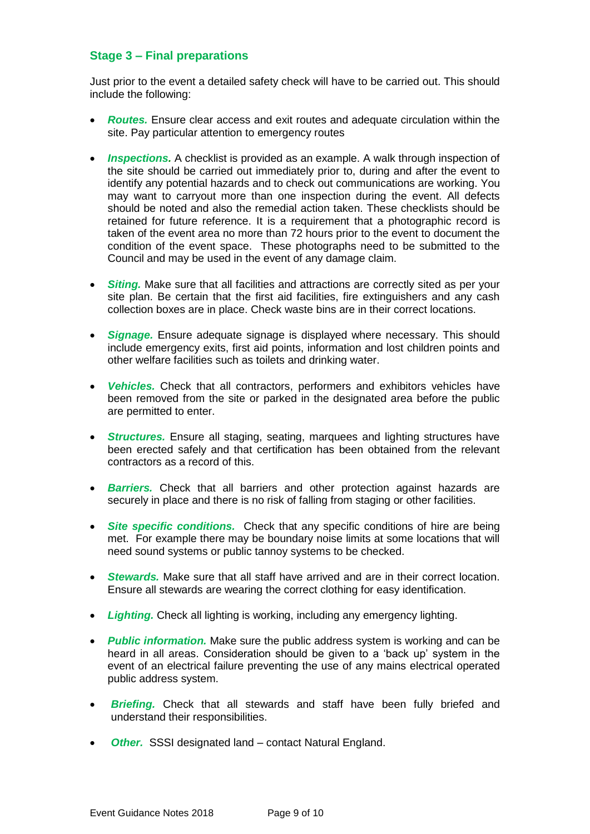### **Stage 3 – Final preparations**

Just prior to the event a detailed safety check will have to be carried out. This should include the following:

- *Routes.* Ensure clear access and exit routes and adequate circulation within the site. Pay particular attention to emergency routes
- *Inspections.* A checklist is provided as an example. A walk through inspection of the site should be carried out immediately prior to, during and after the event to identify any potential hazards and to check out communications are working. You may want to carryout more than one inspection during the event. All defects should be noted and also the remedial action taken. These checklists should be retained for future reference. It is a requirement that a photographic record is taken of the event area no more than 72 hours prior to the event to document the condition of the event space. These photographs need to be submitted to the Council and may be used in the event of any damage claim.
- **Siting.** Make sure that all facilities and attractions are correctly sited as per your site plan. Be certain that the first aid facilities, fire extinguishers and any cash collection boxes are in place. Check waste bins are in their correct locations.
- *Signage.* Ensure adequate signage is displayed where necessary. This should include emergency exits, first aid points, information and lost children points and other welfare facilities such as toilets and drinking water.
- *Vehicles.* Check that all contractors, performers and exhibitors vehicles have been removed from the site or parked in the designated area before the public are permitted to enter.
- *Structures.* Ensure all staging, seating, marquees and lighting structures have been erected safely and that certification has been obtained from the relevant contractors as a record of this.
- *Barriers.* Check that all barriers and other protection against hazards are securely in place and there is no risk of falling from staging or other facilities.
- *Site specific conditions.* Check that any specific conditions of hire are being met. For example there may be boundary noise limits at some locations that will need sound systems or public tannoy systems to be checked.
- *Stewards.* Make sure that all staff have arrived and are in their correct location. Ensure all stewards are wearing the correct clothing for easy identification.
- *Lighting.* Check all lighting is working, including any emergency lighting.
- *Public information.* Make sure the public address system is working and can be heard in all areas. Consideration should be given to a 'back up' system in the event of an electrical failure preventing the use of any mains electrical operated public address system.
- **Briefing.** Check that all stewards and staff have been fully briefed and understand their responsibilities.
- **Other.** SSSI designated land contact Natural England.